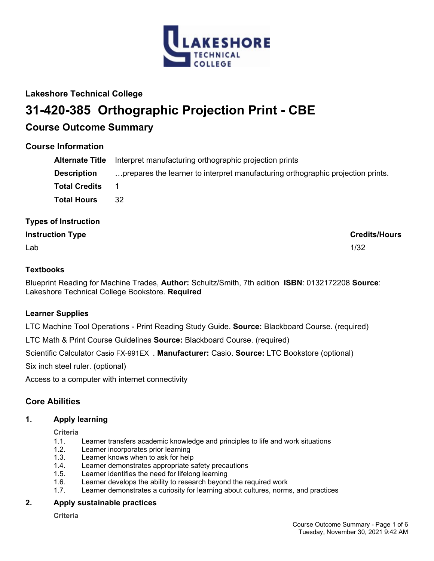

# **Lakeshore Technical College**

# **31-420-385 Orthographic Projection Print - CBE**

# **Course Outcome Summary**

# **Course Information**

| <b>Alternate Title</b> | Interpret manufacturing orthographic projection prints                          |
|------------------------|---------------------------------------------------------------------------------|
| <b>Description</b>     | prepares the learner to interpret manufacturing orthographic projection prints. |
| <b>Total Credits</b>   |                                                                                 |
| <b>Total Hours</b>     | 32                                                                              |

# **Types of Instruction**

# **Instruction Type Credits/Hours**

 $\mathsf{Lab}$  and the contract of the contract of the contract of the contract of the contract of the contract of the contract of the contract of the contract of the contract of the contract of the contract of the contract of

# **Textbooks**

Blueprint Reading for Machine Trades, **Author:** Schultz/Smith, 7th edition **ISBN**: 0132172208 **Source**: Lakeshore Technical College Bookstore. **Required**

# **Learner Supplies**

LTC Machine Tool Operations - Print Reading Study Guide. **Source:** Blackboard Course. (required)

LTC Math & Print Course Guidelines **Source:** Blackboard Course. (required)

Scientific Calculator Casio FX-991EX . **Manufacturer:** Casio. **Source:** LTC Bookstore (optional)

Six inch steel ruler. (optional)

Access to a computer with internet connectivity

# **Core Abilities**

### **1. Apply learning**

**Criteria**

- 1.1. Learner transfers academic knowledge and principles to life and work situations
- 1.2. Learner incorporates prior learning
- 1.3. Learner knows when to ask for help
- 1.4. Learner demonstrates appropriate safety precautions
- 1.5. Learner identifies the need for lifelong learning
- 1.6. Learner develops the ability to research beyond the required work
- 1.7. Learner demonstrates a curiosity for learning about cultures, norms, and practices

### **2. Apply sustainable practices**

**Criteria**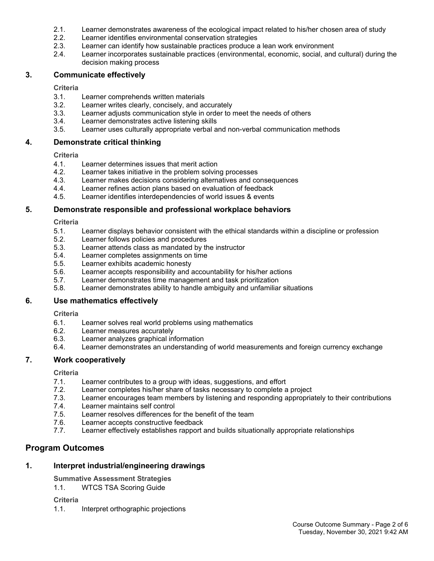- 2.1. Learner demonstrates awareness of the ecological impact related to his/her chosen area of study
- 2.2. Learner identifies environmental conservation strategies
- 2.3. Learner can identify how sustainable practices produce a lean work environment
- 2.4. Learner incorporates sustainable practices (environmental, economic, social, and cultural) during the decision making process

#### **3. Communicate effectively**

#### **Criteria**

- 3.1. Learner comprehends written materials
- 3.2. Learner writes clearly, concisely, and accurately
- 3.3. Learner adjusts communication style in order to meet the needs of others
- 3.4. Learner demonstrates active listening skills
- 3.5. Learner uses culturally appropriate verbal and non-verbal communication methods

#### **4. Demonstrate critical thinking**

#### **Criteria**

- 4.1. Learner determines issues that merit action
- 4.2. Learner takes initiative in the problem solving processes
- 4.3. Learner makes decisions considering alternatives and consequences
- 4.4. Learner refines action plans based on evaluation of feedback
- 4.5. Learner identifies interdependencies of world issues & events

#### **5. Demonstrate responsible and professional workplace behaviors**

#### **Criteria**

- 5.1. Learner displays behavior consistent with the ethical standards within a discipline or profession
- 5.2. Learner follows policies and procedures
- 5.3. Learner attends class as mandated by the instructor
- 5.4. Learner completes assignments on time
- 5.5. Learner exhibits academic honesty
- 5.6. Learner accepts responsibility and accountability for his/her actions
- 5.7. Learner demonstrates time management and task prioritization
- 5.8. Learner demonstrates ability to handle ambiguity and unfamiliar situations

### **6. Use mathematics effectively**

**Criteria**

- 6.1. Learner solves real world problems using mathematics
- 6.2. Learner measures accurately
- 6.3. Learner analyzes graphical information
- 6.4. Learner demonstrates an understanding of world measurements and foreign currency exchange

### **7. Work cooperatively**

### **Criteria**

- 7.1. Learner contributes to a group with ideas, suggestions, and effort
- 7.2. Learner completes his/her share of tasks necessary to complete a project
- 7.3. Learner encourages team members by listening and responding appropriately to their contributions
- 7.4. Learner maintains self control
- 7.5. Learner resolves differences for the benefit of the team
- 7.6. Learner accepts constructive feedback
- 7.7. Learner effectively establishes rapport and builds situationally appropriate relationships

# **Program Outcomes**

# **1. Interpret industrial/engineering drawings**

- **Summative Assessment Strategies**
- 1.1. WTCS TSA Scoring Guide

# **Criteria**

1.1. Interpret orthographic projections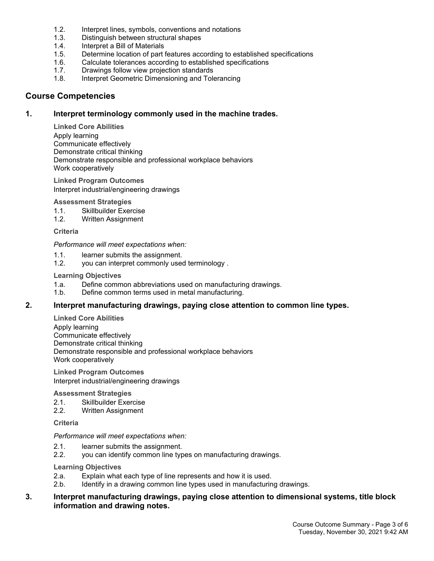- 1.2. Interpret lines, symbols, conventions and notations
- 1.3. Distinguish between structural shapes
- 1.4. Interpret a Bill of Materials
- 1.5. Determine location of part features according to established specifications
- 1.6. Calculate tolerances according to established specifications<br>1.7. Drawings follow view projection standards
- Drawings follow view projection standards
- 1.8. Interpret Geometric Dimensioning and Tolerancing

#### **Course Competencies**

#### **1. Interpret terminology commonly used in the machine trades.**

**Linked Core Abilities** Apply learning Communicate effectively Demonstrate critical thinking Demonstrate responsible and professional workplace behaviors Work cooperatively

**Linked Program Outcomes** Interpret industrial/engineering drawings

#### **Assessment Strategies**

- 1.1. Skillbuilder Exercise
- 1.2. Written Assignment

#### **Criteria**

#### *Performance will meet expectations when:*

- 1.1. learner submits the assignment.
- 1.2. you can interpret commonly used terminology .

#### **Learning Objectives**

- 1.a. Define common abbreviations used on manufacturing drawings.
- 1.b. Define common terms used in metal manufacturing.

#### **2. Interpret manufacturing drawings, paying close attention to common line types.**

**Linked Core Abilities** Apply learning Communicate effectively Demonstrate critical thinking Demonstrate responsible and professional workplace behaviors Work cooperatively

**Linked Program Outcomes** Interpret industrial/engineering drawings

#### **Assessment Strategies**

- 2.1. Skillbuilder Exercise
- 2.2. Written Assignment

**Criteria**

#### *Performance will meet expectations when:*

- 2.1. learner submits the assignment.
- 2.2. you can identify common line types on manufacturing drawings.

#### **Learning Objectives**

- 2.a. Explain what each type of line represents and how it is used.
- 2.b. Identify in a drawing common line types used in manufacturing drawings.

#### **3. Interpret manufacturing drawings, paying close attention to dimensional systems, title block information and drawing notes.**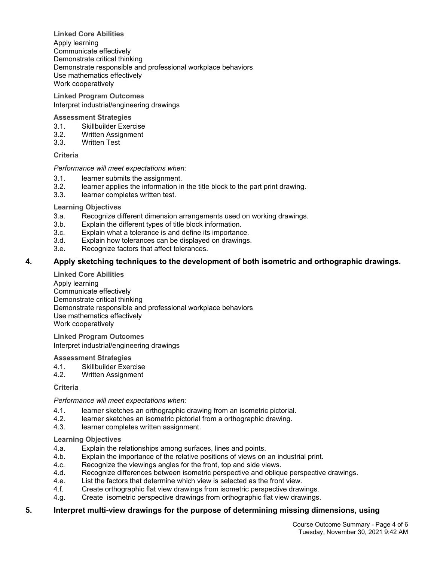**Linked Core Abilities** Apply learning Communicate effectively Demonstrate critical thinking Demonstrate responsible and professional workplace behaviors Use mathematics effectively Work cooperatively

**Linked Program Outcomes** Interpret industrial/engineering drawings

#### **Assessment Strategies**

- 3.1. Skillbuilder Exercise
- 3.2. Written Assignment
- 3.3. Written Test

#### **Criteria**

#### *Performance will meet expectations when:*

- 3.1. learner submits the assignment.<br>3.2. learner applies the information in
- learner applies the information in the title block to the part print drawing.
- 3.3. learner completes written test.

#### **Learning Objectives**

- 3.a. Recognize different dimension arrangements used on working drawings.
- 3.b. Explain the different types of title block information.
- 3.c. Explain what a tolerance is and define its importance.
- 3.d. Explain how tolerances can be displayed on drawings.
- 3.e. Recognize factors that affect tolerances.

#### **4. Apply sketching techniques to the development of both isometric and orthographic drawings.**

**Linked Core Abilities**

Apply learning Communicate effectively Demonstrate critical thinking Demonstrate responsible and professional workplace behaviors Use mathematics effectively Work cooperatively

**Linked Program Outcomes** Interpret industrial/engineering drawings

#### **Assessment Strategies**

- 4.1. Skillbuilder Exercise
- 4.2. Written Assignment

#### **Criteria**

*Performance will meet expectations when:*

- 4.1. learner sketches an orthographic drawing from an isometric pictorial.
- 4.2. learner sketches an isometric pictorial from a orthographic drawing.
- 4.3. learner completes written assignment.

#### **Learning Objectives**

- 4.a. Explain the relationships among surfaces, lines and points.
- 4.b. Explain the importance of the relative positions of views on an industrial print.
- 4.c. Recognize the viewings angles for the front, top and side views.
- 4.d. Recognize differences between isometric perspective and oblique perspective drawings.
- 4.e. List the factors that determine which view is selected as the front view.
- 4.f. Create orthographic flat view drawings from isometric perspective drawings.
- 4.g. Create isometric perspective drawings from orthographic flat view drawings.

### **5. Interpret multi-view drawings for the purpose of determining missing dimensions, using**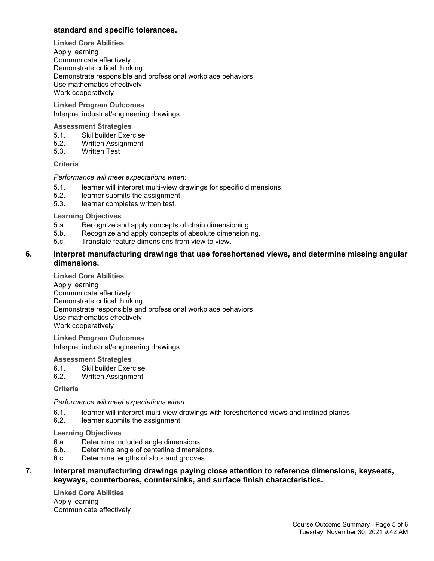#### **standard and specific tolerances.**

**Linked Core Abilities** Apply learning Communicate effectively Demonstrate critical thinking Demonstrate responsible and professional workplace behaviors Use mathematics effectively Work cooperatively

**Linked Program Outcomes** Interpret industrial/engineering drawings

#### **Assessment Strategies**

- 5.1. Skillbuilder Exercise
- 5.2. Written Assignment
- 5.3. Written Test

#### **Criteria**

#### *Performance will meet expectations when:*

- 5.1. learner will interpret multi-view drawings for specific dimensions.
- 5.2. learner submits the assignment.
- 5.3. learner completes written test.

#### **Learning Objectives**

- 5.a. Recognize and apply concepts of chain dimensioning.
- 5.b. Recognize and apply concepts of absolute dimensioning.
- 5.c. Translate feature dimensions from view to view.

#### **6. Interpret manufacturing drawings that use foreshortened views, and determine missing angular dimensions.**

**Linked Core Abilities** Apply learning Communicate effectively Demonstrate critical thinking Demonstrate responsible and professional workplace behaviors Use mathematics effectively Work cooperatively

**Linked Program Outcomes** Interpret industrial/engineering drawings

#### **Assessment Strategies**

- 6.1. Skillbuilder Exercise
- 6.2. Written Assignment

#### **Criteria**

#### *Performance will meet expectations when:*

- 6.1. learner will interpret multi-view drawings with foreshortened views and inclined planes.
- 6.2. learner submits the assignment.

#### **Learning Objectives**

- 6.a. Determine included angle dimensions.
- 6.b. Determine angle of centerline dimensions.
- 6.c. Determine lengths of slots and grooves.

#### **7. Interpret manufacturing drawings paying close attention to reference dimensions, keyseats, keyways, counterbores, countersinks, and surface finish characteristics.**

**Linked Core Abilities** Apply learning Communicate effectively